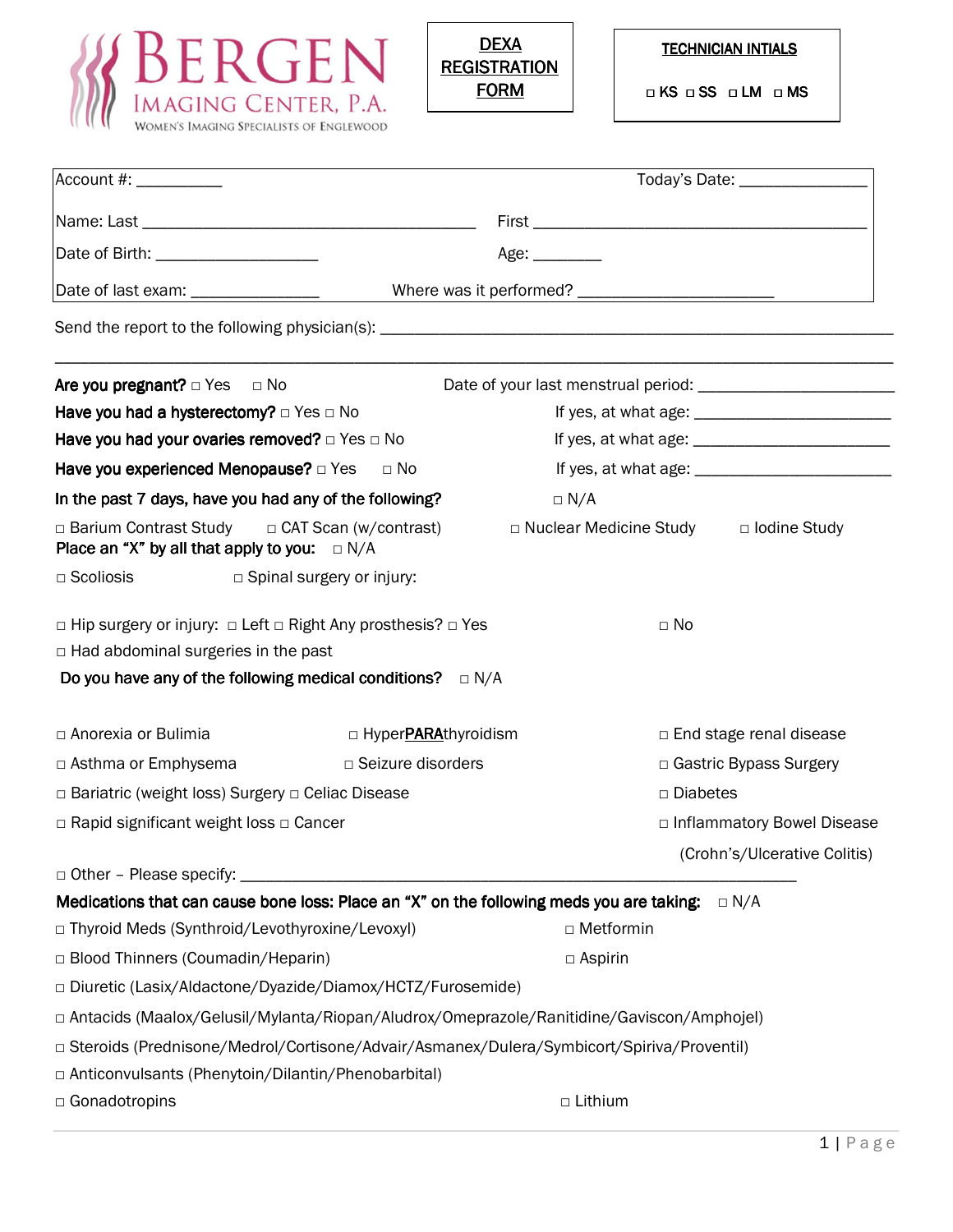



| Account #:                                                                                                                                                                                  |                                                                                          | Today's Date: _________________                                                            |  |  |
|---------------------------------------------------------------------------------------------------------------------------------------------------------------------------------------------|------------------------------------------------------------------------------------------|--------------------------------------------------------------------------------------------|--|--|
|                                                                                                                                                                                             |                                                                                          |                                                                                            |  |  |
| Date of Birth: _____________________                                                                                                                                                        |                                                                                          | Age:                                                                                       |  |  |
|                                                                                                                                                                                             |                                                                                          |                                                                                            |  |  |
|                                                                                                                                                                                             |                                                                                          |                                                                                            |  |  |
| Are you pregnant? $\Box$ Yes $\Box$ No                                                                                                                                                      |                                                                                          |                                                                                            |  |  |
| Have you had a hysterectomy? $\Box$ Yes $\Box$ No                                                                                                                                           |                                                                                          |                                                                                            |  |  |
|                                                                                                                                                                                             | Have you had your ovaries removed? $\Box$ Yes $\Box$ No                                  |                                                                                            |  |  |
|                                                                                                                                                                                             | Have you experienced Menopause? $\Box$ Yes $\Box$ No                                     |                                                                                            |  |  |
|                                                                                                                                                                                             | In the past 7 days, have you had any of the following?                                   | $\Box$ N/A                                                                                 |  |  |
| Place an "X" by all that apply to you: $\square N/A$                                                                                                                                        | $\Box$ Barium Contrast Study $\Box$ CAT Scan (w/contrast)                                | □ Nuclear Medicine Study □ lodine Study                                                    |  |  |
| $\Box$ Scoliosis                                                                                                                                                                            | $\Box$ Spinal surgery or injury:                                                         |                                                                                            |  |  |
| □ Hip surgery or injury: □ Left □ Right Any prosthesis? □ Yes<br>$\Box$ No<br>$\Box$ Had abdominal surgeries in the past<br>Do you have any of the following medical conditions? $\Box$ N/A |                                                                                          |                                                                                            |  |  |
| □ Anorexia or Bulimia                                                                                                                                                                       | □ Hyper <b>PARA</b> thyroidism                                                           | $\Box$ End stage renal disease                                                             |  |  |
| □ Asthma or Emphysema                                                                                                                                                                       | □ Seizure disorders                                                                      | □ Gastric Bypass Surgery                                                                   |  |  |
| □ Bariatric (weight loss) Surgery □ Celiac Disease                                                                                                                                          |                                                                                          | □ Diabetes                                                                                 |  |  |
| $\Box$ Rapid significant weight loss $\Box$ Cancer                                                                                                                                          |                                                                                          | □ Inflammatory Bowel Disease                                                               |  |  |
|                                                                                                                                                                                             |                                                                                          | (Crohn's/Ulcerative Colitis)                                                               |  |  |
| $\Box$ Other - Please specify:                                                                                                                                                              |                                                                                          |                                                                                            |  |  |
|                                                                                                                                                                                             | Medications that can cause bone loss: Place an "X" on the following meds you are taking: | $\Box$ N/A                                                                                 |  |  |
|                                                                                                                                                                                             | □ Thyroid Meds (Synthroid/Levothyroxine/Levoxyl)                                         | □ Metformin                                                                                |  |  |
| □ Blood Thinners (Coumadin/Heparin)                                                                                                                                                         |                                                                                          | $\Box$ Aspirin                                                                             |  |  |
|                                                                                                                                                                                             | □ Diuretic (Lasix/Aldactone/Dyazide/Diamox/HCTZ/Furosemide)                              |                                                                                            |  |  |
|                                                                                                                                                                                             |                                                                                          | □ Antacids (Maalox/Gelusil/Mylanta/Riopan/Aludrox/Omeprazole/Ranitidine/Gaviscon/Amphojel) |  |  |
| □ Steroids (Prednisone/Medrol/Cortisone/Advair/Asmanex/Dulera/Symbicort/Spiriva/Proventil)                                                                                                  |                                                                                          |                                                                                            |  |  |
|                                                                                                                                                                                             | □ Anticonvulsants (Phenytoin/Dilantin/Phenobarbital)                                     |                                                                                            |  |  |
| □ Gonadotropins                                                                                                                                                                             |                                                                                          | □ Lithium                                                                                  |  |  |